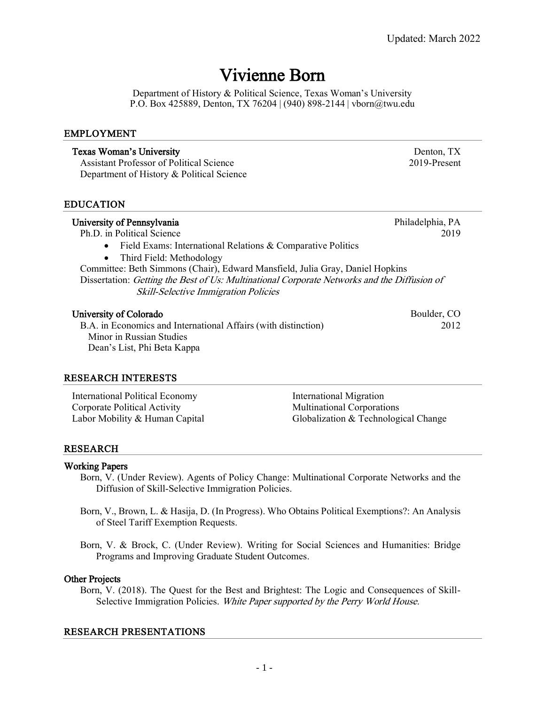## Vivienne Born

Department of History & Political Science, Texas Woman's University P.O. Box 425889, Denton, TX 76204 | (940) 898-2144 | vborn@twu.edu

Texas Woman's University Denton, TX Assistant Professor of Political Science 2019-Present

#### EMPLOYMENT

| Department of History & Political Science                                                                                                                                                                                                                                                                                                                                                                    |                          |
|--------------------------------------------------------------------------------------------------------------------------------------------------------------------------------------------------------------------------------------------------------------------------------------------------------------------------------------------------------------------------------------------------------------|--------------------------|
| <b>EDUCATION</b>                                                                                                                                                                                                                                                                                                                                                                                             |                          |
| University of Pennsylvania<br>Ph.D. in Political Science<br>Field Exams: International Relations & Comparative Politics<br>$\bullet$<br>Third Field: Methodology<br>$\bullet$<br>Committee: Beth Simmons (Chair), Edward Mansfield, Julia Gray, Daniel Hopkins<br>Dissertation: Getting the Best of Us: Multinational Corporate Networks and the Diffusion of<br><b>Skill-Selective Immigration Policies</b> | Philadelphia, PA<br>2019 |
| University of Colorado<br>B.A. in Economics and International Affairs (with distinction)<br>Minor in Russian Studies<br>Dean's List, Phi Beta Kappa                                                                                                                                                                                                                                                          | Boulder, CO<br>2012      |

#### RESEARCH INTERESTS

| <b>International Political Economy</b> | International Migration              |
|----------------------------------------|--------------------------------------|
| Corporate Political Activity           | <b>Multinational Corporations</b>    |
| Labor Mobility & Human Capital         | Globalization & Technological Change |

#### RESEARCH

#### Working Papers

- Born, V. (Under Review). Agents of Policy Change: Multinational Corporate Networks and the Diffusion of Skill-Selective Immigration Policies.
- Born, V., Brown, L. & Hasija, D. (In Progress). Who Obtains Political Exemptions?: An Analysis of Steel Tariff Exemption Requests.

Born, V. & Brock, C. (Under Review). Writing for Social Sciences and Humanities: Bridge Programs and Improving Graduate Student Outcomes.

#### Other Projects

Born, V. (2018). The Quest for the Best and Brightest: The Logic and Consequences of Skill-Selective Immigration Policies. White Paper supported by the Perry World House.

#### RESEARCH PRESENTATIONS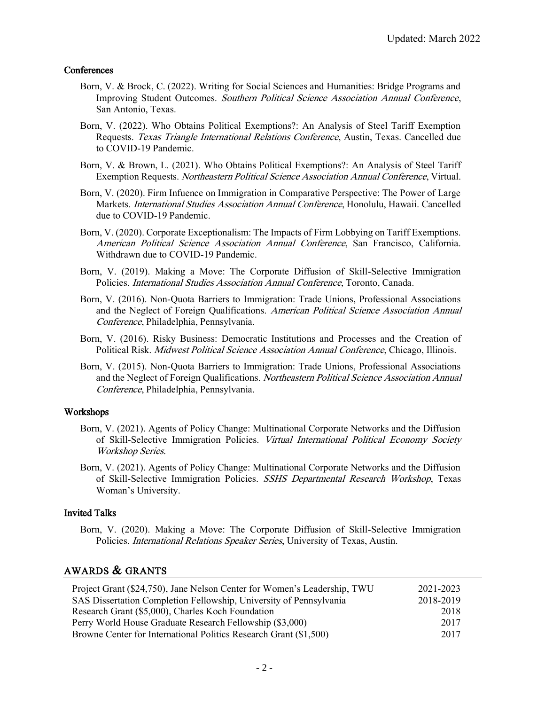### **Conferences**

- Born, V. & Brock, C. (2022). Writing for Social Sciences and Humanities: Bridge Programs and Improving Student Outcomes. Southern Political Science Association Annual Conference, San Antonio, Texas.
- Born, V. (2022). Who Obtains Political Exemptions?: An Analysis of Steel Tariff Exemption Requests. Texas Triangle International Relations Conference, Austin, Texas. Cancelled due to COVID-19 Pandemic.
- Born, V. & Brown, L. (2021). Who Obtains Political Exemptions?: An Analysis of Steel Tariff Exemption Requests. Northeastern Political Science Association Annual Conference, Virtual.
- Born, V. (2020). Firm Infuence on Immigration in Comparative Perspective: The Power of Large Markets. *International Studies Association Annual Conference*, Honolulu, Hawaii. Cancelled due to COVID-19 Pandemic.
- Born, V. (2020). Corporate Exceptionalism: The Impacts of Firm Lobbying on Tariff Exemptions. American Political Science Association Annual Conference, San Francisco, California. Withdrawn due to COVID-19 Pandemic.
- Born, V. (2019). Making a Move: The Corporate Diffusion of Skill-Selective Immigration Policies. International Studies Association Annual Conference, Toronto, Canada.
- Born, V. (2016). Non-Quota Barriers to Immigration: Trade Unions, Professional Associations and the Neglect of Foreign Qualifications. American Political Science Association Annual Conference, Philadelphia, Pennsylvania.
- Born, V. (2016). Risky Business: Democratic Institutions and Processes and the Creation of Political Risk. Midwest Political Science Association Annual Conference, Chicago, Illinois.
- Born, V. (2015). Non-Quota Barriers to Immigration: Trade Unions, Professional Associations and the Neglect of Foreign Qualifications. Northeastern Political Science Association Annual Conference, Philadelphia, Pennsylvania.

#### Workshops

- Born, V. (2021). Agents of Policy Change: Multinational Corporate Networks and the Diffusion of Skill-Selective Immigration Policies. Virtual International Political Economy Society Workshop Series.
- Born, V. (2021). Agents of Policy Change: Multinational Corporate Networks and the Diffusion of Skill-Selective Immigration Policies. SSHS Departmental Research Workshop, Texas Woman's University.

#### Invited Talks

Born, V. (2020). Making a Move: The Corporate Diffusion of Skill-Selective Immigration Policies. International Relations Speaker Series, University of Texas, Austin.

## AWARDS & GRANTS

| Project Grant (\$24,750), Jane Nelson Center for Women's Leadership, TWU | 2021-2023 |
|--------------------------------------------------------------------------|-----------|
| SAS Dissertation Completion Fellowship, University of Pennsylvania       | 2018-2019 |
| Research Grant (\$5,000), Charles Koch Foundation                        | 2018      |
| Perry World House Graduate Research Fellowship (\$3,000)                 | 2017      |
| Browne Center for International Politics Research Grant (\$1,500)        | 2017      |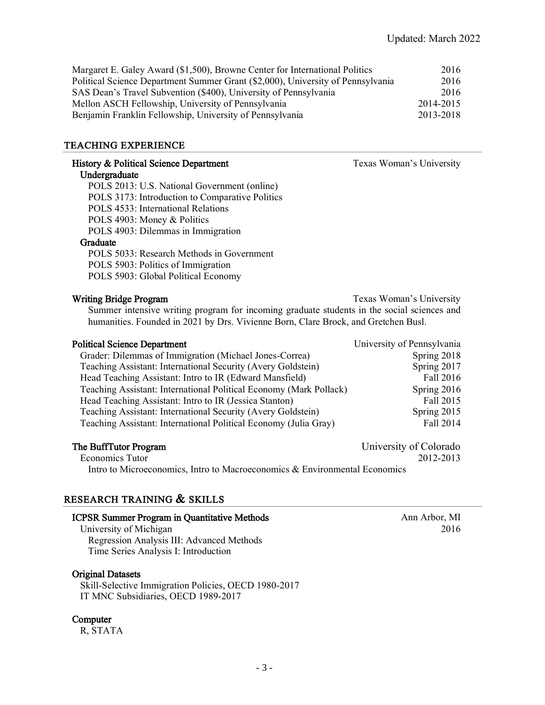| 2016      |
|-----------|
| 2016      |
| 2016      |
| 2014-2015 |
| 2013-2018 |
|           |

## TEACHING EXPERIENCE

| History & Political Science Department                                                                                      | Texas Woman's University   |
|-----------------------------------------------------------------------------------------------------------------------------|----------------------------|
| Undergraduate                                                                                                               |                            |
| POLS 2013: U.S. National Government (online)                                                                                |                            |
| POLS 3173: Introduction to Comparative Politics                                                                             |                            |
| POLS 4533: International Relations                                                                                          |                            |
| POLS 4903: Money & Politics                                                                                                 |                            |
| POLS 4903: Dilemmas in Immigration                                                                                          |                            |
| Graduate                                                                                                                    |                            |
| POLS 5033: Research Methods in Government                                                                                   |                            |
| POLS 5903: Politics of Immigration                                                                                          |                            |
| POLS 5903: Global Political Economy                                                                                         |                            |
| <b>Writing Bridge Program</b><br>Summer intensive writing program for incoming graduate students in the social sciences and | Texas Woman's University   |
| humanities. Founded in 2021 by Drs. Vivienne Born, Clare Brock, and Gretchen Busl.                                          |                            |
| <b>Political Science Department</b>                                                                                         | University of Pennsylvania |
| Grader: Dilemmas of Immigration (Michael Jones-Correa)                                                                      | Spring 2018                |
| Teaching Assistant: International Security (Avery Goldstein)                                                                | Spring 2017                |
| Head Teaching Assistant: Intro to IR (Edward Mansfield)                                                                     | Fall 2016                  |
| Teaching Assistant: International Political Economy (Mark Pollack)                                                          | Spring 2016                |
| Head Teaching Assistant: Intro to IR (Jessica Stanton)                                                                      | Fall 2015                  |
| Teaching Assistant: International Security (Avery Goldstein)                                                                | Spring 2015                |
| Teaching Assistant: International Political Economy (Julia Gray)                                                            | Fall 2014                  |
| The BuffTutor Program                                                                                                       | University of Colorado     |

Economics Tutor 2012-2013 Intro to Microeconomics, Intro to Macroeconomics & Environmental Economics

## RESEARCH TRAINING & SKILLS

#### ICPSR Summer Program in Quantitative Methods Ann Arbor, MI

University of Michigan 2016 Regression Analysis III: Advanced Methods Time Series Analysis I: Introduction

## Original Datasets

Skill-Selective Immigration Policies, OECD 1980-2017 IT MNC Subsidiaries, OECD 1989-2017

## **Computer**

R, STATA